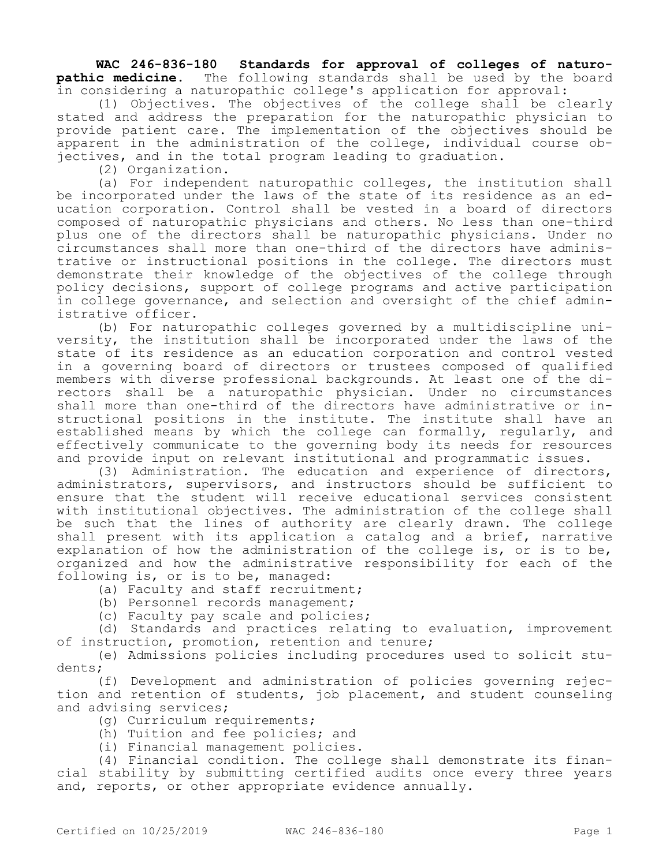**WAC 246-836-180 Standards for approval of colleges of naturopathic medicine.** The following standards shall be used by the board in considering a naturopathic college's application for approval:

(1) Objectives. The objectives of the college shall be clearly stated and address the preparation for the naturopathic physician to provide patient care. The implementation of the objectives should be apparent in the administration of the college, individual course objectives, and in the total program leading to graduation.

(2) Organization.

(a) For independent naturopathic colleges, the institution shall be incorporated under the laws of the state of its residence as an education corporation. Control shall be vested in a board of directors composed of naturopathic physicians and others. No less than one-third plus one of the directors shall be naturopathic physicians. Under no circumstances shall more than one-third of the directors have administrative or instructional positions in the college. The directors must demonstrate their knowledge of the objectives of the college through policy decisions, support of college programs and active participation in college governance, and selection and oversight of the chief administrative officer.

(b) For naturopathic colleges governed by a multidiscipline university, the institution shall be incorporated under the laws of the state of its residence as an education corporation and control vested in a governing board of directors or trustees composed of qualified members with diverse professional backgrounds. At least one of the directors shall be a naturopathic physician. Under no circumstances shall more than one-third of the directors have administrative or instructional positions in the institute. The institute shall have an established means by which the college can formally, regularly, and effectively communicate to the governing body its needs for resources and provide input on relevant institutional and programmatic issues.

(3) Administration. The education and experience of directors, administrators, supervisors, and instructors should be sufficient to ensure that the student will receive educational services consistent with institutional objectives. The administration of the college shall be such that the lines of authority are clearly drawn. The college shall present with its application a catalog and a brief, narrative explanation of how the administration of the college is, or is to be, organized and how the administrative responsibility for each of the following is, or is to be, managed:

(a) Faculty and staff recruitment;

(b) Personnel records management;

(c) Faculty pay scale and policies;

(d) Standards and practices relating to evaluation, improvement of instruction, promotion, retention and tenure;

(e) Admissions policies including procedures used to solicit students;

(f) Development and administration of policies governing rejection and retention of students, job placement, and student counseling and advising services;

- (g) Curriculum requirements;
- (h) Tuition and fee policies; and
- (i) Financial management policies.

(4) Financial condition. The college shall demonstrate its financial stability by submitting certified audits once every three years and, reports, or other appropriate evidence annually.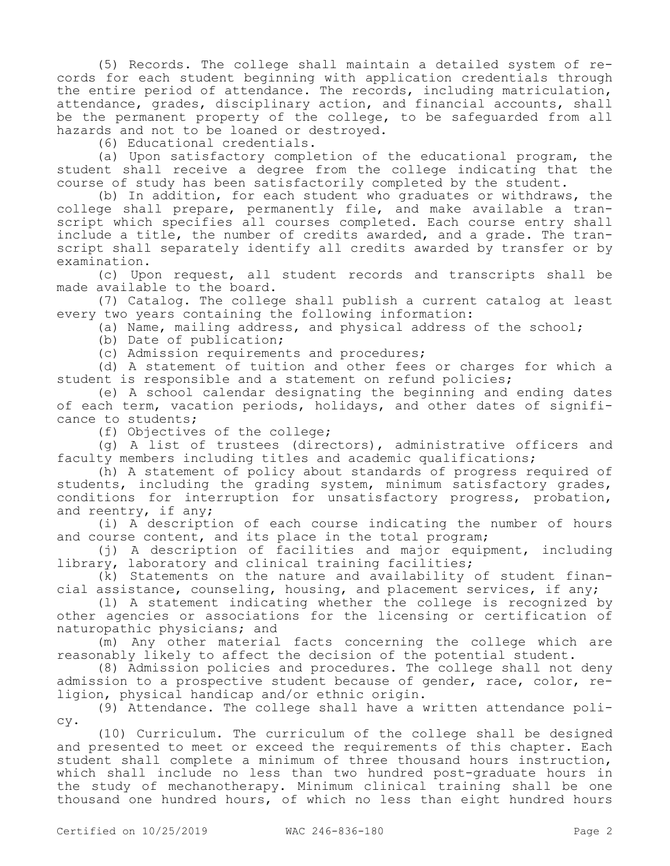(5) Records. The college shall maintain a detailed system of records for each student beginning with application credentials through the entire period of attendance. The records, including matriculation, attendance, grades, disciplinary action, and financial accounts, shall be the permanent property of the college, to be safeguarded from all hazards and not to be loaned or destroyed.

(6) Educational credentials.

(a) Upon satisfactory completion of the educational program, the student shall receive a degree from the college indicating that the course of study has been satisfactorily completed by the student.

(b) In addition, for each student who graduates or withdraws, the college shall prepare, permanently file, and make available a transcript which specifies all courses completed. Each course entry shall include a title, the number of credits awarded, and a grade. The transcript shall separately identify all credits awarded by transfer or by examination.

(c) Upon request, all student records and transcripts shall be made available to the board.

(7) Catalog. The college shall publish a current catalog at least every two years containing the following information:

(a) Name, mailing address, and physical address of the school;

(b) Date of publication;

(c) Admission requirements and procedures;

(d) A statement of tuition and other fees or charges for which a student is responsible and a statement on refund policies;

(e) A school calendar designating the beginning and ending dates of each term, vacation periods, holidays, and other dates of significance to students;

(f) Objectives of the college;

(g) A list of trustees (directors), administrative officers and faculty members including titles and academic qualifications;

(h) A statement of policy about standards of progress required of students, including the grading system, minimum satisfactory grades, conditions for interruption for unsatisfactory progress, probation, and reentry, if any;

(i) A description of each course indicating the number of hours and course content, and its place in the total program;

(j) A description of facilities and major equipment, including library, laboratory and clinical training facilities;

(k) Statements on the nature and availability of student financial assistance, counseling, housing, and placement services, if any;

(l) A statement indicating whether the college is recognized by other agencies or associations for the licensing or certification of naturopathic physicians; and

(m) Any other material facts concerning the college which are reasonably likely to affect the decision of the potential student.

(8) Admission policies and procedures. The college shall not deny admission to a prospective student because of gender, race, color, religion, physical handicap and/or ethnic origin.

(9) Attendance. The college shall have a written attendance policy.

(10) Curriculum. The curriculum of the college shall be designed and presented to meet or exceed the requirements of this chapter. Each student shall complete a minimum of three thousand hours instruction, which shall include no less than two hundred post-graduate hours in the study of mechanotherapy. Minimum clinical training shall be one thousand one hundred hours, of which no less than eight hundred hours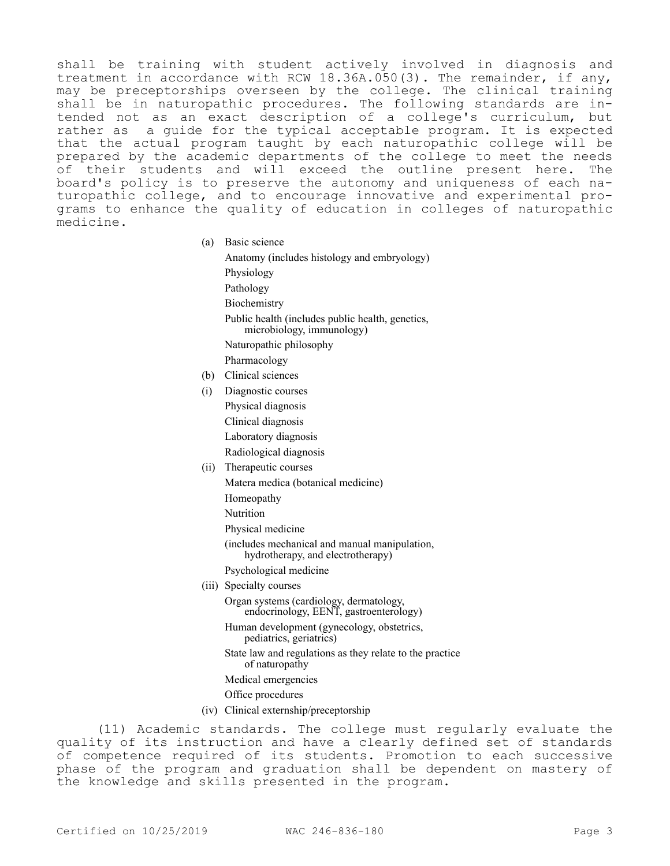shall be training with student actively involved in diagnosis and treatment in accordance with RCW 18.36A.050(3). The remainder, if any, may be preceptorships overseen by the college. The clinical training shall be in naturopathic procedures. The following standards are intended not as an exact description of a college's curriculum, but rather as a guide for the typical acceptable program. It is expected that the actual program taught by each naturopathic college will be prepared by the academic departments of the college to meet the needs of their students and will exceed the outline present here. The board's policy is to preserve the autonomy and uniqueness of each naturopathic college, and to encourage innovative and experimental programs to enhance the quality of education in colleges of naturopathic medicine.

(a) Basic science

Anatomy (includes histology and embryology) Physiology Pathology **Biochemistry** Public health (includes public health, genetics, microbiology, immunology) Naturopathic philosophy Pharmacology (b) Clinical sciences (i) Diagnostic courses

- Physical diagnosis
- Clinical diagnosis
- Laboratory diagnosis
- Radiological diagnosis
- (ii) Therapeutic courses
	- Matera medica (botanical medicine)
		- Homeopathy
		- Nutrition
		- Physical medicine
		- (includes mechanical and manual manipulation, hydrotherapy, and electrotherapy)
	- Psychological medicine
- (iii) Specialty courses

Organ systems (cardiology, dermatology, endocrinology, EENT, gastroenterology)

Human development (gynecology, obstetrics, pediatrics, geriatrics)

- State law and regulations as they relate to the practice of naturopathy
- Medical emergencies
- Office procedures
- (iv) Clinical externship/preceptorship

(11) Academic standards. The college must regularly evaluate the quality of its instruction and have a clearly defined set of standards of competence required of its students. Promotion to each successive phase of the program and graduation shall be dependent on mastery of the knowledge and skills presented in the program.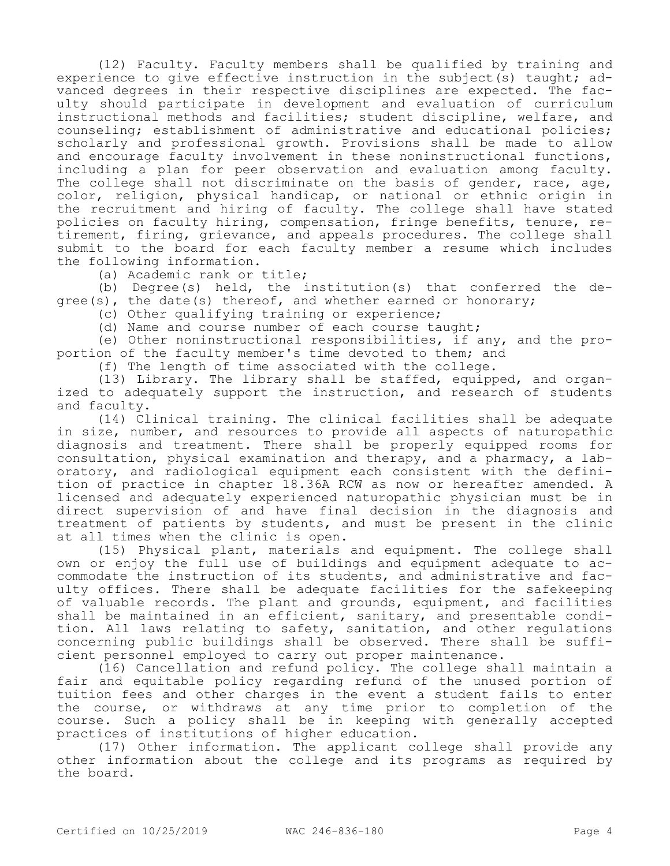(12) Faculty. Faculty members shall be qualified by training and experience to give effective instruction in the subject (s) taught; advanced degrees in their respective disciplines are expected. The faculty should participate in development and evaluation of curriculum instructional methods and facilities; student discipline, welfare, and counseling; establishment of administrative and educational policies; scholarly and professional growth. Provisions shall be made to allow and encourage faculty involvement in these noninstructional functions, including a plan for peer observation and evaluation among faculty. The college shall not discriminate on the basis of gender, race, age, color, religion, physical handicap, or national or ethnic origin in the recruitment and hiring of faculty. The college shall have stated policies on faculty hiring, compensation, fringe benefits, tenure, retirement, firing, grievance, and appeals procedures. The college shall submit to the board for each faculty member a resume which includes the following information.

(a) Academic rank or title;

(b) Degree(s) held, the institution(s) that conferred the degree(s), the date(s) thereof, and whether earned or honorary;

(c) Other qualifying training or experience;

(d) Name and course number of each course taught;

(e) Other noninstructional responsibilities, if any, and the proportion of the faculty member's time devoted to them; and

(f) The length of time associated with the college.

(13) Library. The library shall be staffed, equipped, and organized to adequately support the instruction, and research of students and faculty.

(14) Clinical training. The clinical facilities shall be adequate in size, number, and resources to provide all aspects of naturopathic diagnosis and treatment. There shall be properly equipped rooms for consultation, physical examination and therapy, and a pharmacy, a laboratory, and radiological equipment each consistent with the definition of practice in chapter 18.36A RCW as now or hereafter amended. A licensed and adequately experienced naturopathic physician must be in direct supervision of and have final decision in the diagnosis and treatment of patients by students, and must be present in the clinic at all times when the clinic is open.

(15) Physical plant, materials and equipment. The college shall own or enjoy the full use of buildings and equipment adequate to accommodate the instruction of its students, and administrative and faculty offices. There shall be adequate facilities for the safekeeping of valuable records. The plant and grounds, equipment, and facilities shall be maintained in an efficient, sanitary, and presentable condition. All laws relating to safety, sanitation, and other regulations concerning public buildings shall be observed. There shall be sufficient personnel employed to carry out proper maintenance.

(16) Cancellation and refund policy. The college shall maintain a fair and equitable policy regarding refund of the unused portion of tuition fees and other charges in the event a student fails to enter the course, or withdraws at any time prior to completion of the course. Such a policy shall be in keeping with generally accepted practices of institutions of higher education.

(17) Other information. The applicant college shall provide any other information about the college and its programs as required by the board.